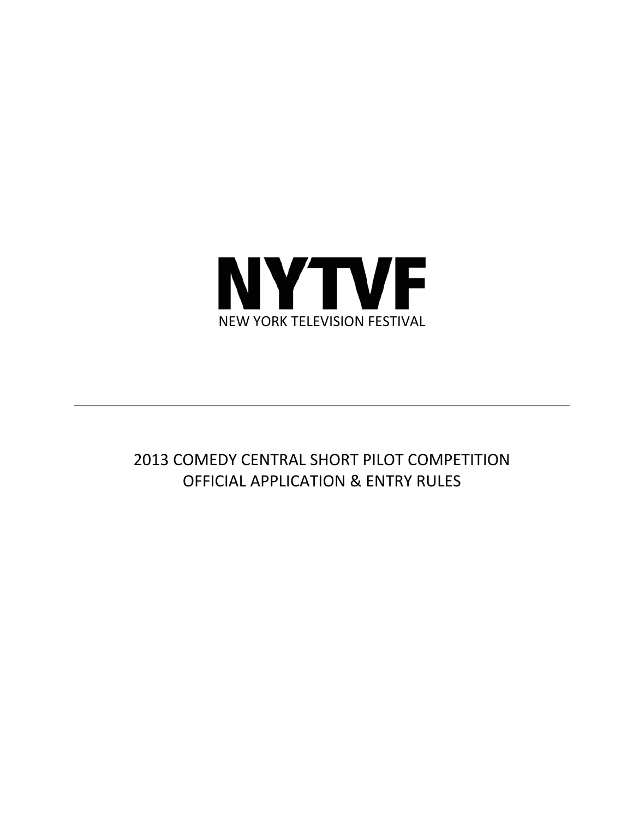

# 2013 COMEDY CENTRAL SHORT PILOT COMPETITION OFFICIAL APPLICATION & ENTRY RULES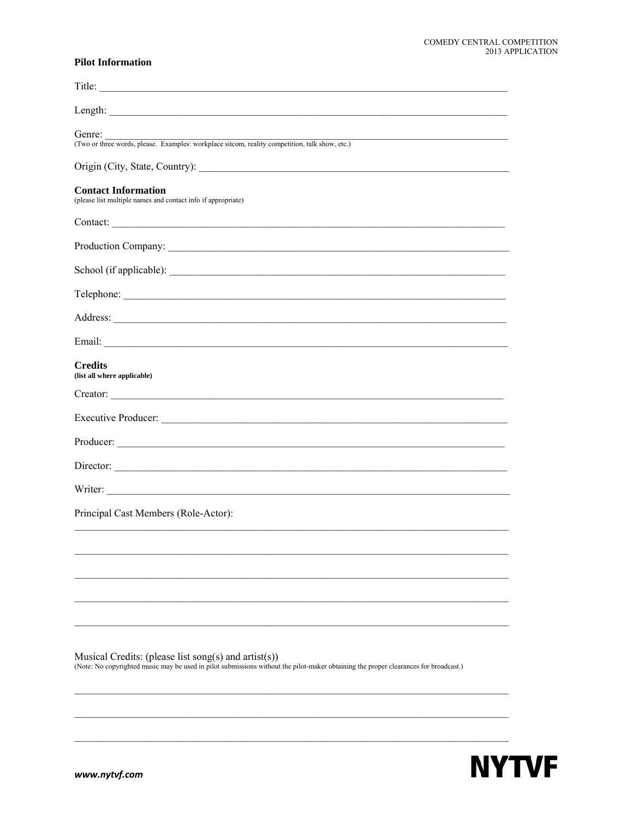## **Pilot Information**

| Title:                                                                                                                                                                                          |
|-------------------------------------------------------------------------------------------------------------------------------------------------------------------------------------------------|
|                                                                                                                                                                                                 |
| Genre:<br>(Two or three words, please. Examples: workplace sitcom, reality competition, talk show, etc.)                                                                                        |
|                                                                                                                                                                                                 |
| <b>Contact Information</b><br>(please list multiple names and contact info if appropriate)                                                                                                      |
| Contact:                                                                                                                                                                                        |
|                                                                                                                                                                                                 |
| School (if applicable):                                                                                                                                                                         |
|                                                                                                                                                                                                 |
| Address: <u>Note</u> 2008.                                                                                                                                                                      |
|                                                                                                                                                                                                 |
| <b>Credits</b><br>(list all where applicable)                                                                                                                                                   |
|                                                                                                                                                                                                 |
|                                                                                                                                                                                                 |
| Producer:                                                                                                                                                                                       |
| Director:                                                                                                                                                                                       |
|                                                                                                                                                                                                 |
| Principal Cast Members (Role-Actor):                                                                                                                                                            |
|                                                                                                                                                                                                 |
|                                                                                                                                                                                                 |
|                                                                                                                                                                                                 |
|                                                                                                                                                                                                 |
|                                                                                                                                                                                                 |
| Musical Credits: (please list song(s) and $aritst(s)$ )<br>(Note: No copyrighted music may be used in pilot submissions without the pilot-maker obtaining the proper clearances for broadcast.) |

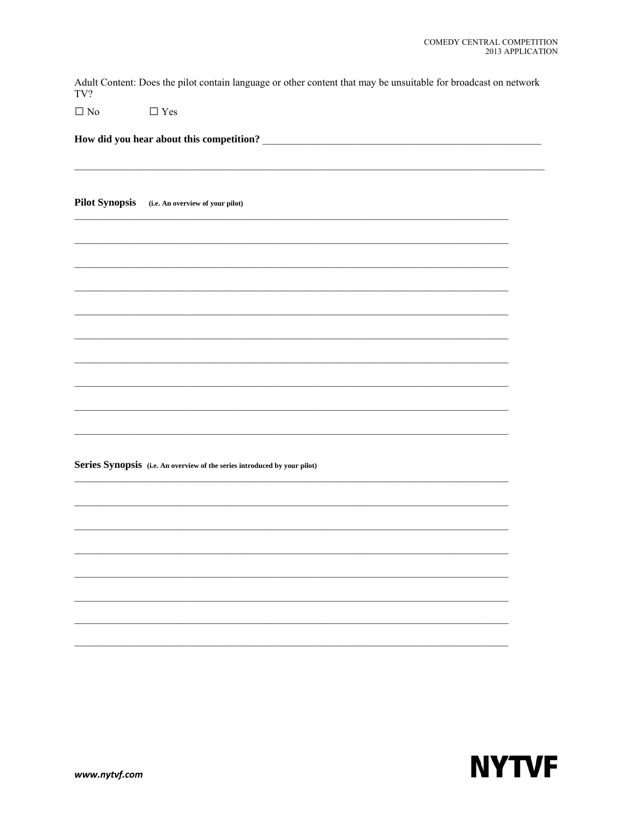Adult Content: Does the pilot contain language or other content that may be unsuitable for broadcast on network TV?

 $\Box$  No  $\Box$  Yes

Pilot Synopsis (i.e. An overview of your pilot)

Series Synopsis (i.e. An overview of the series introduced by your pilot)

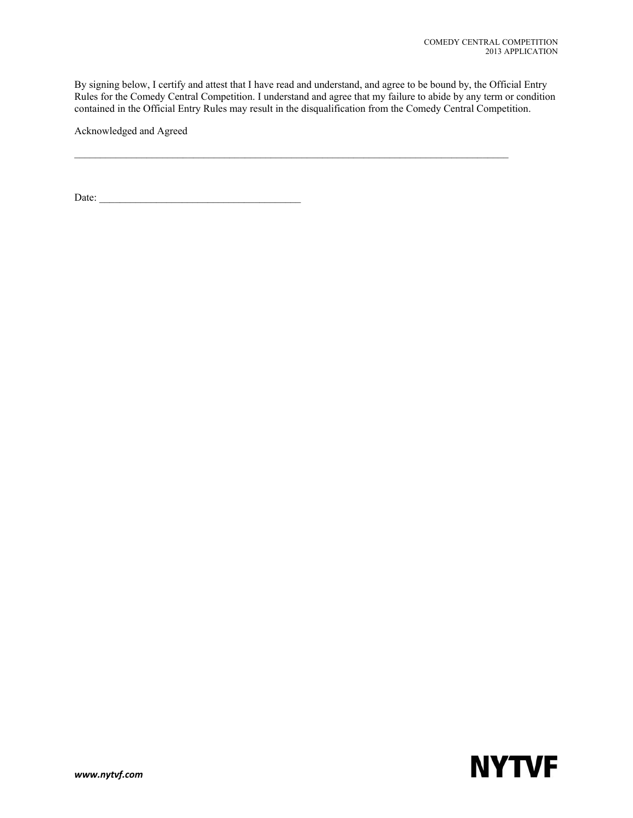By signing below, I certify and attest that I have read and understand, and agree to be bound by, the Official Entry Rules for the Comedy Central Competition. I understand and agree that my failure to abide by any term or condition contained in the Official Entry Rules may result in the disqualification from the Comedy Central Competition.

 $\mathcal{L}_\mathcal{L} = \{ \mathcal{L}_\mathcal{L} = \{ \mathcal{L}_\mathcal{L} = \{ \mathcal{L}_\mathcal{L} = \{ \mathcal{L}_\mathcal{L} = \{ \mathcal{L}_\mathcal{L} = \{ \mathcal{L}_\mathcal{L} = \{ \mathcal{L}_\mathcal{L} = \{ \mathcal{L}_\mathcal{L} = \{ \mathcal{L}_\mathcal{L} = \{ \mathcal{L}_\mathcal{L} = \{ \mathcal{L}_\mathcal{L} = \{ \mathcal{L}_\mathcal{L} = \{ \mathcal{L}_\mathcal{L} = \{ \mathcal{L}_\mathcal{$ 

Acknowledged and Agreed

Date: \_\_\_\_\_\_\_\_\_\_\_\_\_\_\_\_\_\_\_\_\_\_\_\_\_\_\_\_\_\_\_\_\_\_\_\_\_\_\_

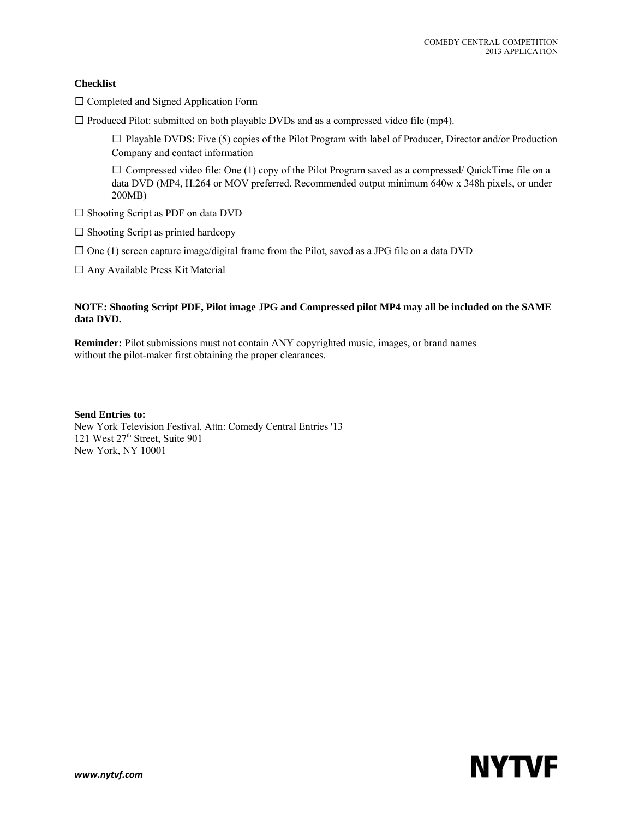## **Checklist**

- □ Completed and Signed Application Form
- $\square$  Produced Pilot: submitted on both playable DVDs and as a compressed video file (mp4).

 $\square$  Playable DVDS: Five (5) copies of the Pilot Program with label of Producer, Director and/or Production Company and contact information

 $\square$  Compressed video file: One (1) copy of the Pilot Program saved as a compressed/ QuickTime file on a data DVD (MP4, H.264 or MOV preferred. Recommended output minimum 640w x 348h pixels, or under 200MB)

- □ Shooting Script as PDF on data DVD
- $\square$  Shooting Script as printed hardcopy
- $\square$  One (1) screen capture image/digital frame from the Pilot, saved as a JPG file on a data DVD

□ Any Available Press Kit Material

#### **NOTE: Shooting Script PDF, Pilot image JPG and Compressed pilot MP4 may all be included on the SAME data DVD.**

**Reminder:** Pilot submissions must not contain ANY copyrighted music, images, or brand names without the pilot-maker first obtaining the proper clearances.

**Send Entries to:** New York Television Festival, Attn: Comedy Central Entries '13 121 West 27<sup>th</sup> Street, Suite 901 New York, NY 10001

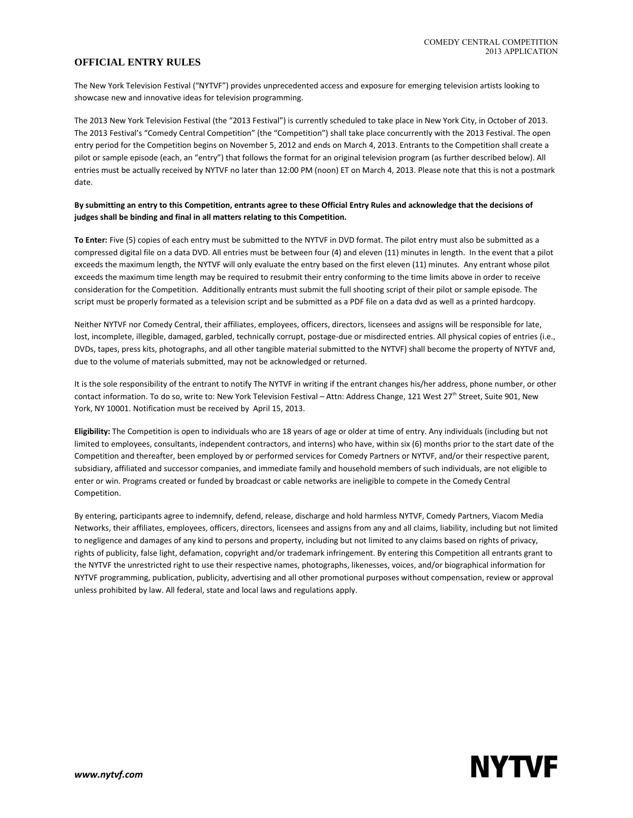## **OFFICIAL ENTRY RULES**

The New York Television Festival ("NYTVF") provides unprecedented access and exposure for emerging television artists looking to showcase new and innovative ideas for television programming.

The 2013 New York Television Festival (the "2013 Festival") is currently scheduled to take place in New York City, in October of 2013. The 2013 Festival's "Comedy Central Competition" (the "Competition") shall take place concurrently with the 2013 Festival. The open entry period for the Competition begins on November 5, 2012 and ends on March 4, 2013. Entrants to the Competition shall create a pilot or sample episode (each, an "entry") that follows the format for an original television program (as further described below). All entries must be actually received by NYTVF no later than 12:00 PM (noon) ET on March 4, 2013. Please note that this is not a postmark date.

#### By submitting an entry to this Competition, entrants agree to these Official Entry Rules and acknowledge that the decisions of **judges shall be binding and final in all matters relating to this Competition.**

**To Enter:** Five (5) copies of each entry must be submitted to the NYTVF in DVD format. The pilot entry must also be submitted as a compressed digital file on a data DVD. All entries must be between four (4) and eleven (11) minutes in length. In the event that a pilot exceeds the maximum length, the NYTVF will only evaluate the entry based on the first eleven (11) minutes. Any entrant whose pilot exceeds the maximum time length may be required to resubmit their entry conforming to the time limits above in order to receive consideration for the Competition. Additionally entrants must submit the full shooting script of their pilot or sample episode. The script must be properly formated as a television script and be submitted as a PDF file on a data dvd as well as a printed hardcopy.

Neither NYTVF nor Comedy Central, their affiliates, employees, officers, directors, licensees and assigns will be responsible for late, lost, incomplete, illegible, damaged, garbled, technically corrupt, postage-due or misdirected entries. All physical copies of entries (i.e., DVDs, tapes, press kits, photographs, and all other tangible material submitted to the NYTVF) shall become the property of NYTVF and, due to the volume of materials submitted, may not be acknowledged or returned.

It is the sole responsibility of the entrant to notify The NYTVF in writing if the entrant changes his/her address, phone number, or other contact information. To do so, write to: New York Television Festival – Attn: Address Change, 121 West 27<sup>th</sup> Street, Suite 901, New York, NY 10001. Notification must be received by April 15, 2013.

**Eligibility:** The Competition is open to individuals who are 18 years of age or older at time of entry. Any individuals (including but not limited to employees, consultants, independent contractors, and interns) who have, within six (6) months prior to the start date of the Competition and thereafter, been employed by or performed services for Comedy Partners or NYTVF, and/or their respective parent, subsidiary, affiliated and successor companies, and immediate family and household members of such individuals, are not eligible to enter or win. Programs created or funded by broadcast or cable networks are ineligible to compete in the Comedy Central Competition.

By entering, participants agree to indemnify, defend, release, discharge and hold harmless NYTVF, Comedy Partners, Viacom Media Networks, their affiliates, employees, officers, directors, licensees and assigns from any and all claims, liability, including but not limited to negligence and damages of any kind to persons and property, including but not limited to any claims based on rights of privacy, rights of publicity, false light, defamation, copyright and/or trademark infringement. By entering this Competition all entrants grant to the NYTVF the unrestricted right to use their respective names, photographs, likenesses, voices, and/or biographical information for NYTVF programming, publication, publicity, advertising and all other promotional purposes without compensation, review or approval unless prohibited by law. All federal, state and local laws and regulations apply.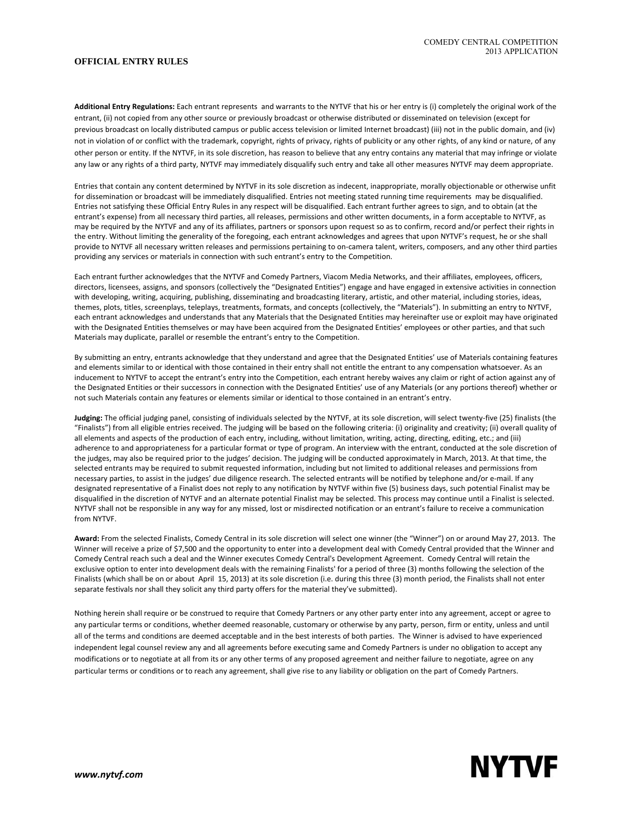#### **OFFICIAL ENTRY RULES**

**Additional Entry Regulations:** Each entrant represents and warrants to the NYTVF that his or her entry is (i) completely the original work of the entrant, (ii) not copied from any other source or previously broadcast or otherwise distributed or disseminated on television (except for previous broadcast on locally distributed campus or public access television or limited Internet broadcast) (iii) not in the public domain, and (iv) not in violation of or conflict with the trademark, copyright, rights of privacy, rights of publicity or any other rights, of any kind or nature, of any other person or entity. If the NYTVF, in its sole discretion, has reason to believe that any entry contains any material that may infringe or violate any law or any rights of a third party, NYTVF may immediately disqualify such entry and take all other measures NYTVF may deem appropriate.

Entries that contain any content determined by NYTVF in its sole discretion as indecent, inappropriate, morally objectionable or otherwise unfit for dissemination or broadcast will be immediately disqualified. Entries not meeting stated running time requirements may be disqualified. Entries not satisfying these Official Entry Rules in any respect will be disqualified. Each entrant further agrees to sign, and to obtain (at the entrant's expense) from all necessary third parties, all releases, permissions and other written documents, in a form acceptable to NYTVF, as may be required by the NYTVF and any of its affiliates, partners or sponsors upon request so as to confirm, record and/or perfect their rights in the entry. Without limiting the generality of the foregoing, each entrant acknowledges and agrees that upon NYTVF's request, he or she shall provide to NYTVF all necessary written releases and permissions pertaining to on‐camera talent, writers, composers, and any other third parties providing any services or materials in connection with such entrant's entry to the Competition.

Each entrant further acknowledges that the NYTVF and Comedy Partners, Viacom Media Networks, and their affiliates, employees, officers, directors, licensees, assigns, and sponsors (collectively the "Designated Entities") engage and have engaged in extensive activities in connection with developing, writing, acquiring, publishing, disseminating and broadcasting literary, artistic, and other material, including stories, ideas, themes, plots, titles, screenplays, teleplays, treatments, formats, and concepts (collectively, the "Materials"). In submitting an entry to NYTVF, each entrant acknowledges and understands that any Materials that the Designated Entities may hereinafter use or exploit may have originated with the Designated Entities themselves or may have been acquired from the Designated Entities' employees or other parties, and that such Materials may duplicate, parallel or resemble the entrant's entry to the Competition.

By submitting an entry, entrants acknowledge that they understand and agree that the Designated Entities' use of Materials containing features and elements similar to or identical with those contained in their entry shall not entitle the entrant to any compensation whatsoever. As an inducement to NYTVF to accept the entrant's entry into the Competition, each entrant hereby waives any claim or right of action against any of the Designated Entities or their successors in connection with the Designated Entities' use of any Materials (or any portions thereof) whether or not such Materials contain any features or elements similar or identical to those contained in an entrant's entry.

**Judging:** The official judging panel, consisting of individuals selected by the NYTVF, at its sole discretion, will select twenty‐five (25) finalists (the "Finalists") from all eligible entries received. The judging will be based on the following criteria: (i) originality and creativity; (ii) overall quality of all elements and aspects of the production of each entry, including, without limitation, writing, acting, directing, editing, etc.; and (iii) adherence to and appropriateness for a particular format or type of program. An interview with the entrant, conducted at the sole discretion of the judges, may also be required prior to the judges' decision. The judging will be conducted approximately in March, 2013. At that time, the selected entrants may be required to submit requested information, including but not limited to additional releases and permissions from necessary parties, to assist in the judges' due diligence research. The selected entrants will be notified by telephone and/or e-mail. If any designated representative of a Finalist does not reply to any notification by NYTVF within five (5) business days, such potential Finalist may be disqualified in the discretion of NYTVF and an alternate potential Finalist may be selected. This process may continue until a Finalist is selected. NYTVF shall not be responsible in any way for any missed, lost or misdirected notification or an entrant's failure to receive a communication from NYTVF.

**Award:** From the selected Finalists, Comedy Central in its sole discretion will select one winner (the "Winner") on or around May 27, 2013. The Winner will receive a prize of \$7,500 and the opportunity to enter into a development deal with Comedy Central provided that the Winner and Comedy Central reach such a deal and the Winner executes Comedy Central's Development Agreement. Comedy Central will retain the exclusive option to enter into development deals with the remaining Finalists' for a period of three (3) months following the selection of the Finalists (which shall be on or about April 15, 2013) at its sole discretion (i.e. during this three (3) month period, the Finalists shall not enter separate festivals nor shall they solicit any third party offers for the material they've submitted).

Nothing herein shall require or be construed to require that Comedy Partners or any other party enter into any agreement, accept or agree to any particular terms or conditions, whether deemed reasonable, customary or otherwise by any party, person, firm or entity, unless and until all of the terms and conditions are deemed acceptable and in the best interests of both parties. The Winner is advised to have experienced independent legal counsel review any and all agreements before executing same and Comedy Partners is under no obligation to accept any modifications or to negotiate at all from its or any other terms of any proposed agreement and neither failure to negotiate, agree on any particular terms or conditions or to reach any agreement, shall give rise to any liability or obligation on the part of Comedy Partners.